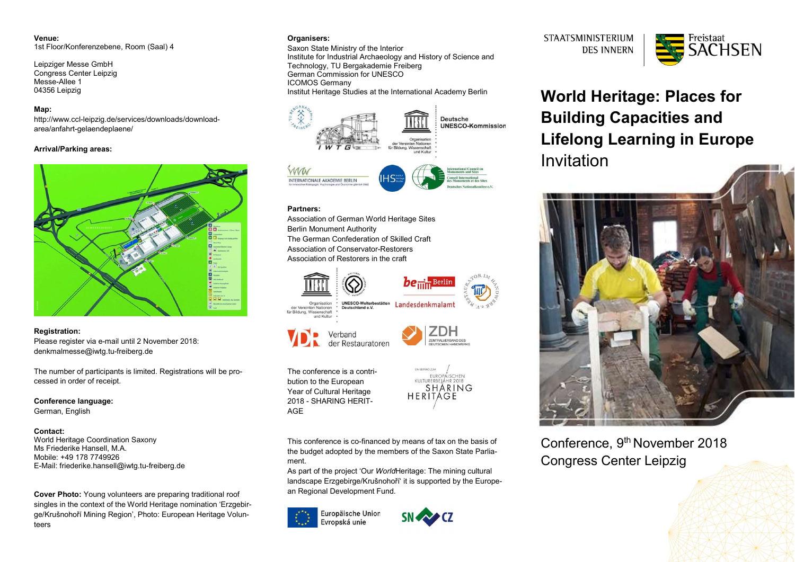Venue: 1st Floor/Konferenzebene, Room (Saal) 4

Leipziger Messe GmbH Congress Center Leipzig Messe-Allee 1 04356 Leipzig

# Map:

http://www.ccl-leipzig.de/services/downloads/downloadarea/anfahrt-gelaendeplaene/

# Arrival/Parking areas:



# Registration:

Please register via e-mail until 2 November 2018: denkmalmesse@iwtg.tu-freiberg.de

The number of participants is limited. Registrations will be processed in order of receipt.

Conference language: German, English

## Contact:

World Heritage Coordination Saxony Ms Friederike Hansell, M.A. Mobile: +49 178 7749926 E-Mail: friederike.hansell@iwtg.tu-freiberg.de

Cover Photo: Young volunteers are preparing traditional roof singles in the context of the World Heritage nomination 'Erzgebirge/Krušnohoří Mining Region', Photo: European Heritage Volunteers

# Organisers:

Saxon State Ministry of the Interior Institute for Industrial Archaeology and History of Science and Technology, TU Bergakademie Freiberg German Commission for UNESCO ICOMOS Germany Institut Heritage Studies at the International Academy Berlin



# Partners:

Association of German World Heritage Sites Berlin Monument Authority The German Confederation of Skilled Craft Association of Conservator-Restorers Association of Restorers in the craft





UNESCO-Welterbestätten<br>Deutschland e.V. der Vereinten Nationer für Bildung, Wissenschaft und Kultur





The conference is a contribution to the European Year of Cultural Heritage 2018 - SHARING HERIT-AGE



This conference is co-financed by means of tax on the basis of the budget adopted by the members of the Saxon State Parliament.

As part of the project 'Our WorldHeritage: The mining cultural landscape Erzgebirge/Krušnohoří' it is supported by the European Regional Development Fund.





**STAATSMINISTERIUM DES INNERN** 



World Heritage: Places for Building Capacities and Lifelong Learning in Europe Invitation



Conference, 9th November 2018 Congress Center Leipzig